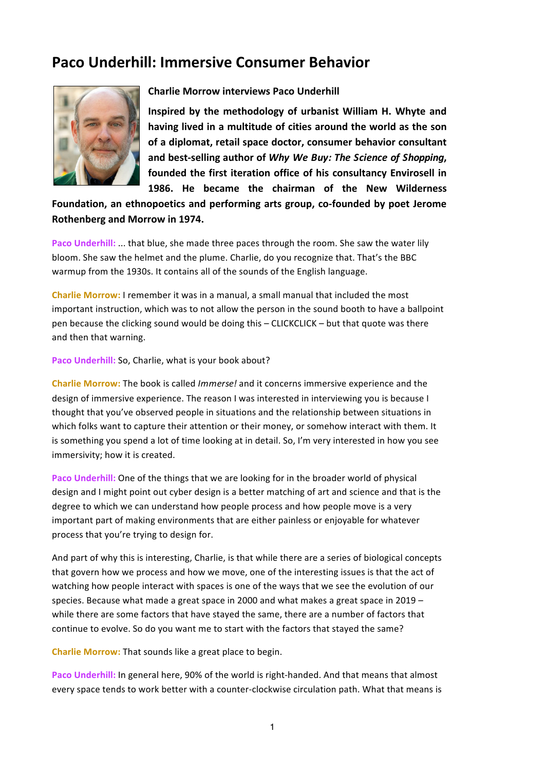## **Paco Underhill: Immersive Consumer Behavior**



## **Charlie Morrow interviews Paco Underhill**

Inspired by the methodology of urbanist William H. Whyte and having lived in a multitude of cities around the world as the son of a diplomat, retail space doctor, consumer behavior consultant and best-selling author of *Why We Buy: The Science of Shopping*, founded the first iteration office of his consultancy Envirosell in **1986. He became the chairman of the New Wilderness** 

Foundation, an ethnopoetics and performing arts group, co-founded by poet Jerome **Rothenberg and Morrow in 1974.** 

**Paco Underhill:** ... that blue, she made three paces through the room. She saw the water lily bloom. She saw the helmet and the plume. Charlie, do you recognize that. That's the BBC warmup from the 1930s. It contains all of the sounds of the English language.

**Charlie Morrow:** I remember it was in a manual, a small manual that included the most important instruction, which was to not allow the person in the sound booth to have a ballpoint pen because the clicking sound would be doing this – CLICKCLICK – but that quote was there and then that warning.

Paco Underhill: So, Charlie, what is your book about?

**Charlie Morrow:** The book is called *Immerse!* and it concerns immersive experience and the design of immersive experience. The reason I was interested in interviewing you is because I thought that you've observed people in situations and the relationship between situations in which folks want to capture their attention or their money, or somehow interact with them. It is something you spend a lot of time looking at in detail. So, I'm very interested in how you see immersivity; how it is created.

**Paco Underhill:** One of the things that we are looking for in the broader world of physical design and I might point out cyber design is a better matching of art and science and that is the degree to which we can understand how people process and how people move is a very important part of making environments that are either painless or enjoyable for whatever process that you're trying to design for.

And part of why this is interesting, Charlie, is that while there are a series of biological concepts that govern how we process and how we move, one of the interesting issues is that the act of watching how people interact with spaces is one of the ways that we see the evolution of our species. Because what made a great space in 2000 and what makes a great space in 2019  $$ while there are some factors that have stayed the same, there are a number of factors that continue to evolve. So do you want me to start with the factors that stayed the same?

**Charlie Morrow:** That sounds like a great place to begin.

Paco Underhill: In general here, 90% of the world is right-handed. And that means that almost every space tends to work better with a counter-clockwise circulation path. What that means is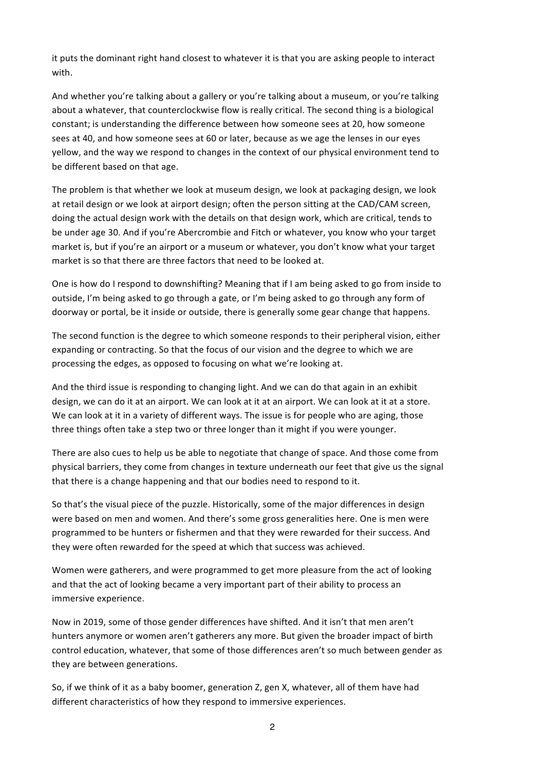it puts the dominant right hand closest to whatever it is that you are asking people to interact with.

And whether you're talking about a gallery or you're talking about a museum, or you're talking about a whatever, that counterclockwise flow is really critical. The second thing is a biological constant; is understanding the difference between how someone sees at 20, how someone sees at 40, and how someone sees at 60 or later, because as we age the lenses in our eves yellow, and the way we respond to changes in the context of our physical environment tend to be different based on that age.

The problem is that whether we look at museum design, we look at packaging design, we look at retail design or we look at airport design; often the person sitting at the CAD/CAM screen, doing the actual design work with the details on that design work, which are critical, tends to be under age 30. And if you're Abercrombie and Fitch or whatever, you know who your target market is, but if you're an airport or a museum or whatever, you don't know what your target market is so that there are three factors that need to be looked at.

One is how do I respond to downshifting? Meaning that if I am being asked to go from inside to outside, I'm being asked to go through a gate, or I'm being asked to go through any form of doorway or portal, be it inside or outside, there is generally some gear change that happens.

The second function is the degree to which someone responds to their peripheral vision, either expanding or contracting. So that the focus of our vision and the degree to which we are processing the edges, as opposed to focusing on what we're looking at.

And the third issue is responding to changing light. And we can do that again in an exhibit design, we can do it at an airport. We can look at it at an airport. We can look at it at a store. We can look at it in a variety of different ways. The issue is for people who are aging, those three things often take a step two or three longer than it might if you were younger.

There are also cues to help us be able to negotiate that change of space. And those come from physical barriers, they come from changes in texture underneath our feet that give us the signal that there is a change happening and that our bodies need to respond to it.

So that's the visual piece of the puzzle. Historically, some of the major differences in design were based on men and women. And there's some gross generalities here. One is men were programmed to be hunters or fishermen and that they were rewarded for their success. And they were often rewarded for the speed at which that success was achieved.

Women were gatherers, and were programmed to get more pleasure from the act of looking and that the act of looking became a very important part of their ability to process an immersive experience.

Now in 2019, some of those gender differences have shifted. And it isn't that men aren't hunters anymore or women aren't gatherers any more. But given the broader impact of birth control education, whatever, that some of those differences aren't so much between gender as they are between generations.

So, if we think of it as a baby boomer, generation Z, gen X, whatever, all of them have had different characteristics of how they respond to immersive experiences.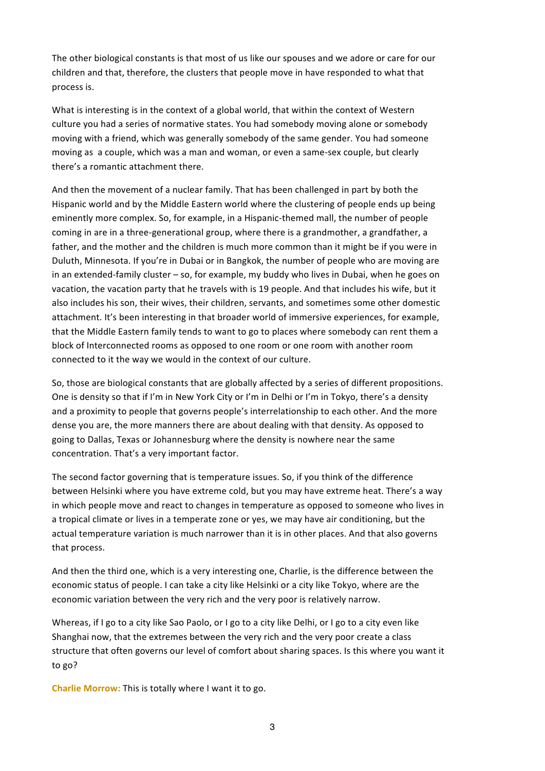The other biological constants is that most of us like our spouses and we adore or care for our children and that, therefore, the clusters that people move in have responded to what that process is.

What is interesting is in the context of a global world, that within the context of Western culture you had a series of normative states. You had somebody moving alone or somebody moving with a friend, which was generally somebody of the same gender. You had someone moving as a couple, which was a man and woman, or even a same-sex couple, but clearly there's a romantic attachment there.

And then the movement of a nuclear family. That has been challenged in part by both the Hispanic world and by the Middle Eastern world where the clustering of people ends up being eminently more complex. So, for example, in a Hispanic-themed mall, the number of people coming in are in a three-generational group, where there is a grandmother, a grandfather, a father, and the mother and the children is much more common than it might be if you were in Duluth, Minnesota. If you're in Dubai or in Bangkok, the number of people who are moving are in an extended-family cluster  $-$  so, for example, my buddy who lives in Dubai, when he goes on vacation, the vacation party that he travels with is 19 people. And that includes his wife, but it also includes his son, their wives, their children, servants, and sometimes some other domestic attachment. It's been interesting in that broader world of immersive experiences, for example, that the Middle Eastern family tends to want to go to places where somebody can rent them a block of Interconnected rooms as opposed to one room or one room with another room connected to it the way we would in the context of our culture.

So, those are biological constants that are globally affected by a series of different propositions. One is density so that if I'm in New York City or I'm in Delhi or I'm in Tokyo, there's a density and a proximity to people that governs people's interrelationship to each other. And the more dense you are, the more manners there are about dealing with that density. As opposed to going to Dallas, Texas or Johannesburg where the density is nowhere near the same concentration. That's a very important factor.

The second factor governing that is temperature issues. So, if you think of the difference between Helsinki where you have extreme cold, but you may have extreme heat. There's a way in which people move and react to changes in temperature as opposed to someone who lives in a tropical climate or lives in a temperate zone or yes, we may have air conditioning, but the actual temperature variation is much narrower than it is in other places. And that also governs that process.

And then the third one, which is a very interesting one, Charlie, is the difference between the economic status of people. I can take a city like Helsinki or a city like Tokyo, where are the economic variation between the very rich and the very poor is relatively narrow.

Whereas, if I go to a city like Sao Paolo, or I go to a city like Delhi, or I go to a city even like Shanghai now, that the extremes between the very rich and the very poor create a class structure that often governs our level of comfort about sharing spaces. Is this where you want it to go?

**Charlie Morrow:** This is totally where I want it to go.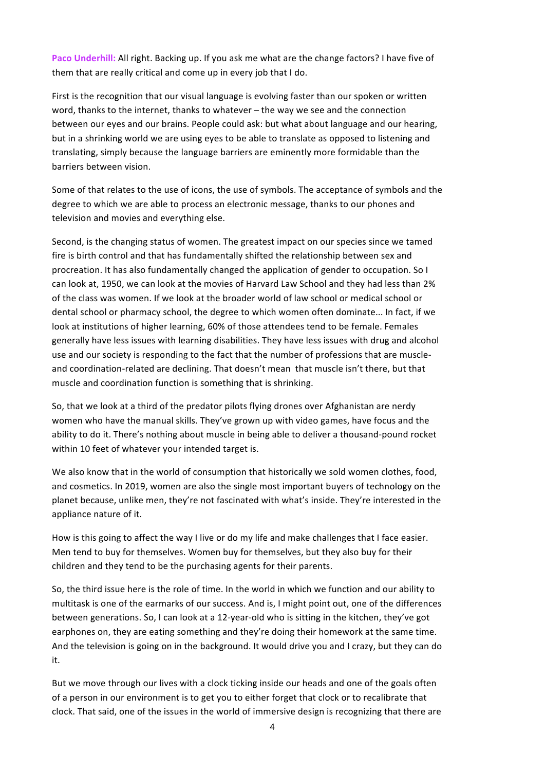**Paco Underhill:** All right. Backing up. If you ask me what are the change factors? I have five of them that are really critical and come up in every job that I do.

First is the recognition that our visual language is evolving faster than our spoken or written word, thanks to the internet, thanks to whatever – the way we see and the connection between our eyes and our brains. People could ask: but what about language and our hearing, but in a shrinking world we are using eyes to be able to translate as opposed to listening and translating, simply because the language barriers are eminently more formidable than the barriers between vision.

Some of that relates to the use of icons, the use of symbols. The acceptance of symbols and the degree to which we are able to process an electronic message, thanks to our phones and television and movies and everything else.

Second, is the changing status of women. The greatest impact on our species since we tamed fire is birth control and that has fundamentally shifted the relationship between sex and procreation. It has also fundamentally changed the application of gender to occupation. So I can look at, 1950, we can look at the movies of Harvard Law School and they had less than 2% of the class was women. If we look at the broader world of law school or medical school or dental school or pharmacy school, the degree to which women often dominate... In fact, if we look at institutions of higher learning, 60% of those attendees tend to be female. Females generally have less issues with learning disabilities. They have less issues with drug and alcohol use and our society is responding to the fact that the number of professions that are muscleand coordination-related are declining. That doesn't mean that muscle isn't there, but that muscle and coordination function is something that is shrinking.

So, that we look at a third of the predator pilots flying drones over Afghanistan are nerdy women who have the manual skills. They've grown up with video games, have focus and the ability to do it. There's nothing about muscle in being able to deliver a thousand-pound rocket within 10 feet of whatever your intended target is.

We also know that in the world of consumption that historically we sold women clothes, food, and cosmetics. In 2019, women are also the single most important buyers of technology on the planet because, unlike men, they're not fascinated with what's inside. They're interested in the appliance nature of it.

How is this going to affect the way I live or do my life and make challenges that I face easier. Men tend to buy for themselves. Women buy for themselves, but they also buy for their children and they tend to be the purchasing agents for their parents.

So, the third issue here is the role of time. In the world in which we function and our ability to multitask is one of the earmarks of our success. And is, I might point out, one of the differences between generations. So, I can look at a 12-year-old who is sitting in the kitchen, they've got earphones on, they are eating something and they're doing their homework at the same time. And the television is going on in the background. It would drive you and I crazy, but they can do it.

But we move through our lives with a clock ticking inside our heads and one of the goals often of a person in our environment is to get you to either forget that clock or to recalibrate that clock. That said, one of the issues in the world of immersive design is recognizing that there are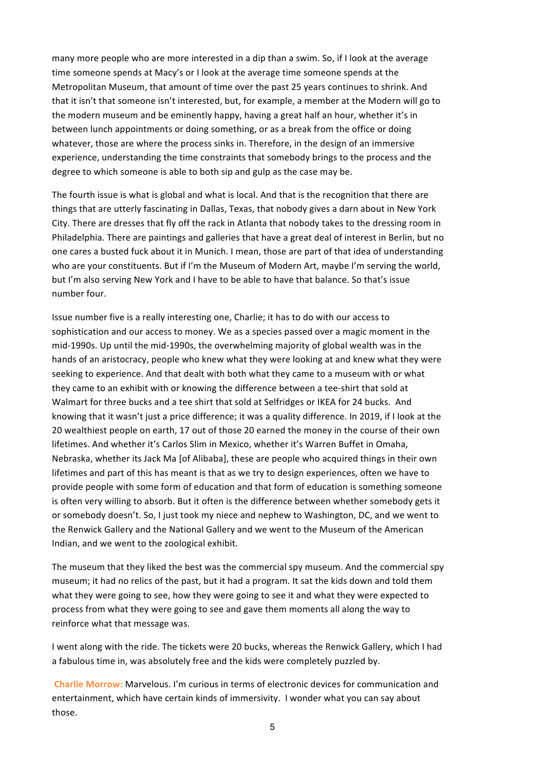many more people who are more interested in a dip than a swim. So, if I look at the average time someone spends at Macy's or I look at the average time someone spends at the Metropolitan Museum, that amount of time over the past 25 years continues to shrink. And that it isn't that someone isn't interested, but, for example, a member at the Modern will go to the modern museum and be eminently happy, having a great half an hour, whether it's in between lunch appointments or doing something, or as a break from the office or doing whatever, those are where the process sinks in. Therefore, in the design of an immersive experience, understanding the time constraints that somebody brings to the process and the degree to which someone is able to both sip and gulp as the case may be.

The fourth issue is what is global and what is local. And that is the recognition that there are things that are utterly fascinating in Dallas, Texas, that nobody gives a darn about in New York City. There are dresses that fly off the rack in Atlanta that nobody takes to the dressing room in Philadelphia. There are paintings and galleries that have a great deal of interest in Berlin, but no one cares a busted fuck about it in Munich. I mean, those are part of that idea of understanding who are your constituents. But if I'm the Museum of Modern Art, maybe I'm serving the world, but I'm also serving New York and I have to be able to have that balance. So that's issue number four.

Issue number five is a really interesting one, Charlie; it has to do with our access to sophistication and our access to money. We as a species passed over a magic moment in the mid-1990s. Up until the mid-1990s, the overwhelming majority of global wealth was in the hands of an aristocracy, people who knew what they were looking at and knew what they were seeking to experience. And that dealt with both what they came to a museum with or what they came to an exhibit with or knowing the difference between a tee-shirt that sold at Walmart for three bucks and a tee shirt that sold at Selfridges or IKEA for 24 bucks. And knowing that it wasn't just a price difference; it was a quality difference. In 2019, if I look at the 20 wealthiest people on earth, 17 out of those 20 earned the money in the course of their own lifetimes. And whether it's Carlos Slim in Mexico, whether it's Warren Buffet in Omaha, Nebraska, whether its Jack Ma [of Alibaba], these are people who acquired things in their own lifetimes and part of this has meant is that as we try to design experiences, often we have to provide people with some form of education and that form of education is something someone is often very willing to absorb. But it often is the difference between whether somebody gets it or somebody doesn't. So, I just took my niece and nephew to Washington, DC, and we went to the Renwick Gallery and the National Gallery and we went to the Museum of the American Indian, and we went to the zoological exhibit.

The museum that they liked the best was the commercial spy museum. And the commercial spy museum; it had no relics of the past, but it had a program. It sat the kids down and told them what they were going to see, how they were going to see it and what they were expected to process from what they were going to see and gave them moments all along the way to reinforce what that message was.

I went along with the ride. The tickets were 20 bucks, whereas the Renwick Gallery, which I had a fabulous time in, was absolutely free and the kids were completely puzzled by.

**Charlie Morrow:** Marvelous. I'm curious in terms of electronic devices for communication and entertainment, which have certain kinds of immersivity. I wonder what you can say about those.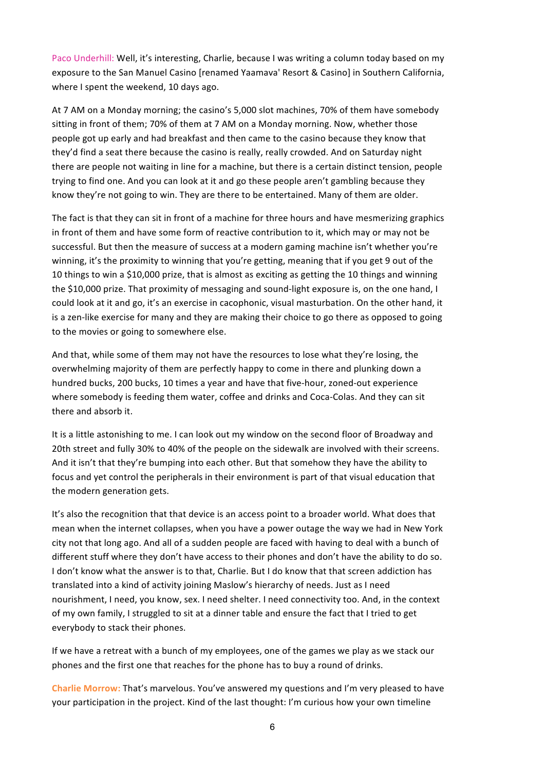Paco Underhill: Well, it's interesting, Charlie, because I was writing a column today based on my exposure to the San Manuel Casino [renamed Yaamava' Resort & Casino] in Southern California, where I spent the weekend, 10 days ago.

At 7 AM on a Monday morning; the casino's 5,000 slot machines, 70% of them have somebody sitting in front of them; 70% of them at 7 AM on a Monday morning. Now, whether those people got up early and had breakfast and then came to the casino because they know that they'd find a seat there because the casino is really, really crowded. And on Saturday night there are people not waiting in line for a machine, but there is a certain distinct tension, people trying to find one. And you can look at it and go these people aren't gambling because they know they're not going to win. They are there to be entertained. Many of them are older.

The fact is that they can sit in front of a machine for three hours and have mesmerizing graphics in front of them and have some form of reactive contribution to it, which may or may not be successful. But then the measure of success at a modern gaming machine isn't whether you're winning, it's the proximity to winning that you're getting, meaning that if you get 9 out of the 10 things to win a \$10,000 prize, that is almost as exciting as getting the 10 things and winning the \$10,000 prize. That proximity of messaging and sound-light exposure is, on the one hand, I could look at it and go, it's an exercise in cacophonic, visual masturbation. On the other hand, it is a zen-like exercise for many and they are making their choice to go there as opposed to going to the movies or going to somewhere else.

And that, while some of them may not have the resources to lose what they're losing, the overwhelming majority of them are perfectly happy to come in there and plunking down a hundred bucks, 200 bucks, 10 times a year and have that five-hour, zoned-out experience where somebody is feeding them water, coffee and drinks and Coca-Colas. And they can sit there and absorb it.

It is a little astonishing to me. I can look out my window on the second floor of Broadway and 20th street and fully 30% to 40% of the people on the sidewalk are involved with their screens. And it isn't that they're bumping into each other. But that somehow they have the ability to focus and yet control the peripherals in their environment is part of that visual education that the modern generation gets.

It's also the recognition that that device is an access point to a broader world. What does that mean when the internet collapses, when you have a power outage the way we had in New York city not that long ago. And all of a sudden people are faced with having to deal with a bunch of different stuff where they don't have access to their phones and don't have the ability to do so. I don't know what the answer is to that, Charlie. But I do know that that screen addiction has translated into a kind of activity joining Maslow's hierarchy of needs. Just as I need nourishment, I need, you know, sex. I need shelter. I need connectivity too. And, in the context of my own family, I struggled to sit at a dinner table and ensure the fact that I tried to get everybody to stack their phones.

If we have a retreat with a bunch of my employees, one of the games we play as we stack our phones and the first one that reaches for the phone has to buy a round of drinks.

**Charlie Morrow:** That's marvelous. You've answered my questions and I'm very pleased to have your participation in the project. Kind of the last thought: I'm curious how your own timeline